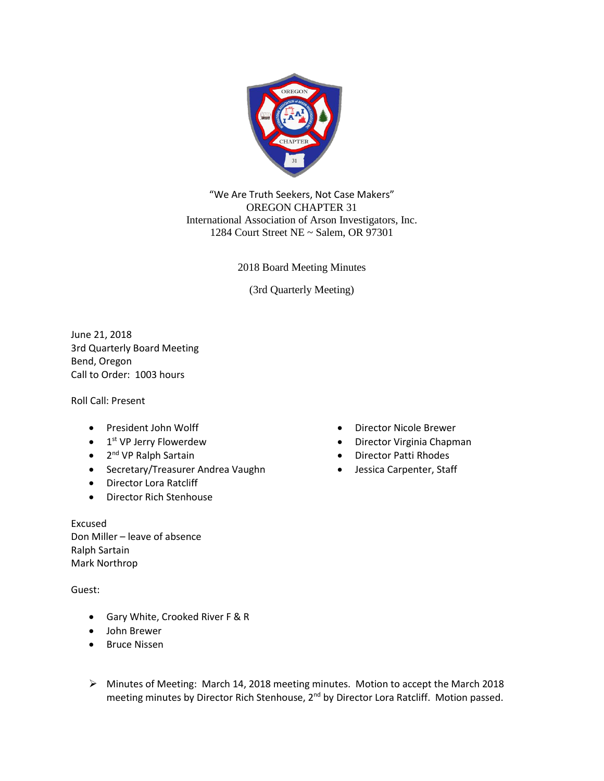

"We Are Truth Seekers, Not Case Makers" OREGON CHAPTER 31 International Association of Arson Investigators, Inc. 1284 Court Street NE ~ Salem, OR 97301

2018 Board Meeting Minutes

(3rd Quarterly Meeting)

June 21, 2018 3rd Quarterly Board Meeting Bend, Oregon Call to Order: 1003 hours

Roll Call: Present

- President John Wolff
- 1<sup>st</sup> VP Jerry Flowerdew
- 2<sup>nd</sup> VP Ralph Sartain
- Secretary/Treasurer Andrea Vaughn
- Director Lora Ratcliff
- Director Rich Stenhouse

Excused Don Miller – leave of absence Ralph Sartain Mark Northrop

Guest:

- Gary White, Crooked River F & R
- John Brewer
- Bruce Nissen
- Director Nicole Brewer
- Director Virginia Chapman
- Director Patti Rhodes
- Jessica Carpenter, Staff

➢ Minutes of Meeting: March 14, 2018 meeting minutes. Motion to accept the March 2018 meeting minutes by Director Rich Stenhouse, 2<sup>nd</sup> by Director Lora Ratcliff. Motion passed.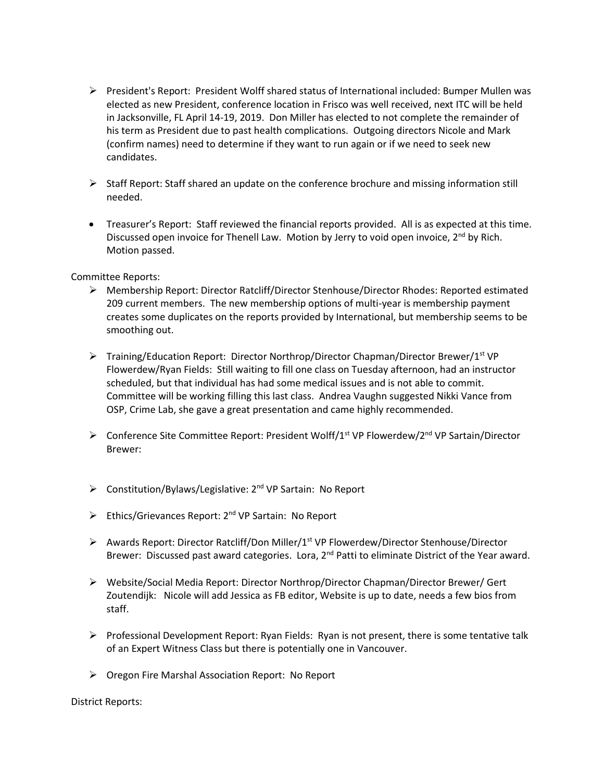- ➢ President's Report: President Wolff shared status of International included: Bumper Mullen was elected as new President, conference location in Frisco was well received, next ITC will be held in Jacksonville, FL April 14-19, 2019. Don Miller has elected to not complete the remainder of his term as President due to past health complications. Outgoing directors Nicole and Mark (confirm names) need to determine if they want to run again or if we need to seek new candidates.
- ➢ Staff Report: Staff shared an update on the conference brochure and missing information still needed.
- Treasurer's Report: Staff reviewed the financial reports provided. All is as expected at this time. Discussed open invoice for Thenell Law. Motion by Jerry to void open invoice,  $2^{nd}$  by Rich. Motion passed.

## Committee Reports:

- ➢ Membership Report: Director Ratcliff/Director Stenhouse/Director Rhodes: Reported estimated 209 current members. The new membership options of multi-year is membership payment creates some duplicates on the reports provided by International, but membership seems to be smoothing out.
- $\triangleright$  Training/Education Report: Director Northrop/Director Chapman/Director Brewer/1<sup>st</sup> VP Flowerdew/Ryan Fields: Still waiting to fill one class on Tuesday afternoon, had an instructor scheduled, but that individual has had some medical issues and is not able to commit. Committee will be working filling this last class. Andrea Vaughn suggested Nikki Vance from OSP, Crime Lab, she gave a great presentation and came highly recommended.
- $\triangleright$  Conference Site Committee Report: President Wolff/1<sup>st</sup> VP Flowerdew/2<sup>nd</sup> VP Sartain/Director Brewer:
- > Constitution/Bylaws/Legislative: 2<sup>nd</sup> VP Sartain: No Report
- > Ethics/Grievances Report: 2<sup>nd</sup> VP Sartain: No Report
- ➢ Awards Report: Director Ratcliff/Don Miller/1st VP Flowerdew/Director Stenhouse/Director Brewer: Discussed past award categories. Lora,  $2^{nd}$  Patti to eliminate District of the Year award.
- ➢ Website/Social Media Report: Director Northrop/Director Chapman/Director Brewer/ Gert Zoutendijk: Nicole will add Jessica as FB editor, Website is up to date, needs a few bios from staff.
- $\triangleright$  Professional Development Report: Ryan Fields: Ryan is not present, there is some tentative talk of an Expert Witness Class but there is potentially one in Vancouver.
- ➢ Oregon Fire Marshal Association Report: No Report

District Reports: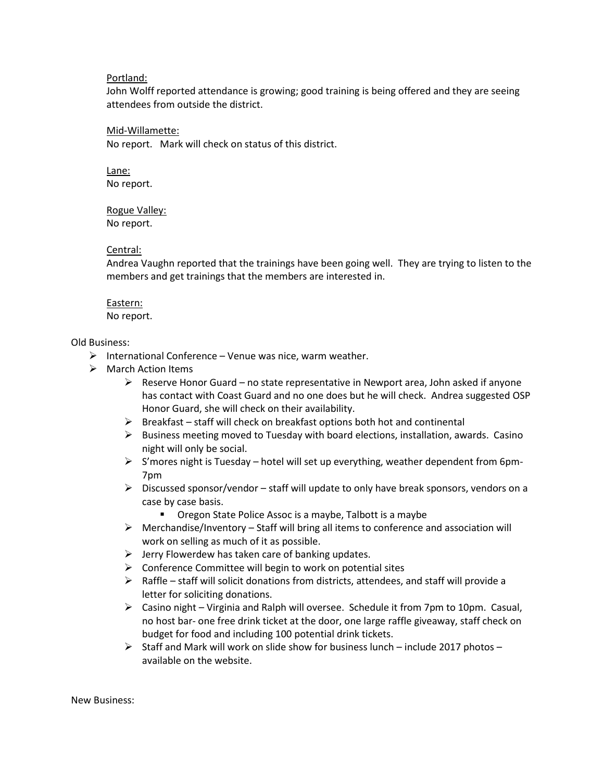#### Portland:

John Wolff reported attendance is growing; good training is being offered and they are seeing attendees from outside the district.

### Mid-Willamette:

No report. Mark will check on status of this district.

#### Lane: No report.

Rogue Valley: No report.

## Central:

Andrea Vaughn reported that the trainings have been going well. They are trying to listen to the members and get trainings that the members are interested in.

# Eastern:

No report.

## Old Business:

- $\triangleright$  International Conference Venue was nice, warm weather.
- ➢ March Action Items
	- $\triangleright$  Reserve Honor Guard no state representative in Newport area, John asked if anyone has contact with Coast Guard and no one does but he will check. Andrea suggested OSP Honor Guard, she will check on their availability.
	- $\triangleright$  Breakfast staff will check on breakfast options both hot and continental
	- $\triangleright$  Business meeting moved to Tuesday with board elections, installation, awards. Casino night will only be social.
	- $\triangleright$  S'mores night is Tuesday hotel will set up everything, weather dependent from 6pm-7pm
	- $\triangleright$  Discussed sponsor/vendor staff will update to only have break sponsors, vendors on a case by case basis.
		- Oregon State Police Assoc is a maybe, Talbott is a maybe
	- $\triangleright$  Merchandise/Inventory Staff will bring all items to conference and association will work on selling as much of it as possible.
	- $\triangleright$  Jerry Flowerdew has taken care of banking updates.
	- $\triangleright$  Conference Committee will begin to work on potential sites
	- $\triangleright$  Raffle staff will solicit donations from districts, attendees, and staff will provide a letter for soliciting donations.
	- ➢ Casino night Virginia and Ralph will oversee. Schedule it from 7pm to 10pm. Casual, no host bar- one free drink ticket at the door, one large raffle giveaway, staff check on budget for food and including 100 potential drink tickets.
	- $\triangleright$  Staff and Mark will work on slide show for business lunch include 2017 photos available on the website.

New Business: